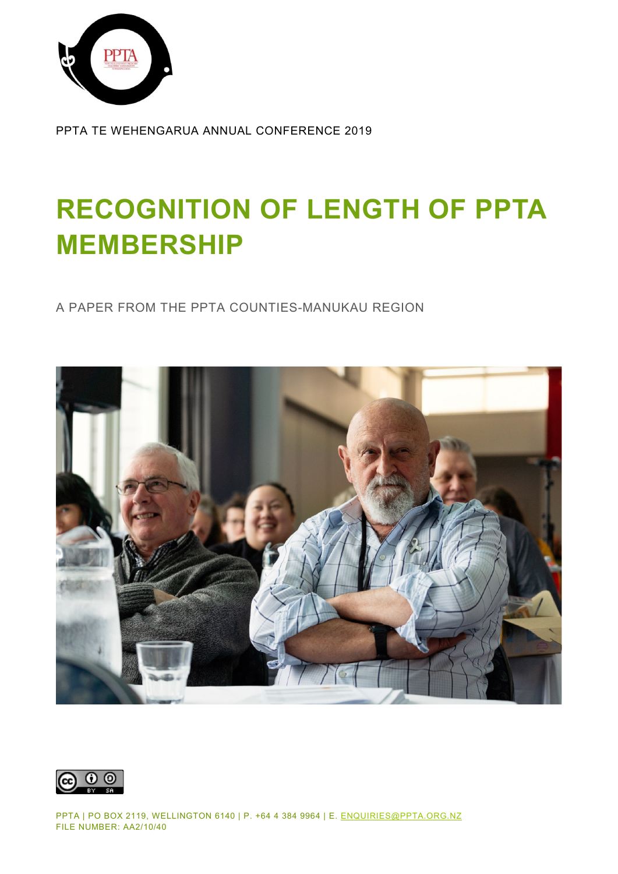

PPTA TE WEHENGARUA ANNUAL CONFERENCE 2019

## **RECOGNITION OF LENGTH OF PPTA MEMBERSHIP**

A PAPER FROM THE PPTA COUNTIES-MANUKAU REGION



 $\odot$   $\odot$ (cc)

PPTA | PO BOX 2119, WELLINGTON 6140 | P. +64 4 384 9964 | E. [ENQUIRIES@PPTA.ORG.NZ](mailto:enquiries@ppta.org.nz) FILE NUMBER: AA2/10/40